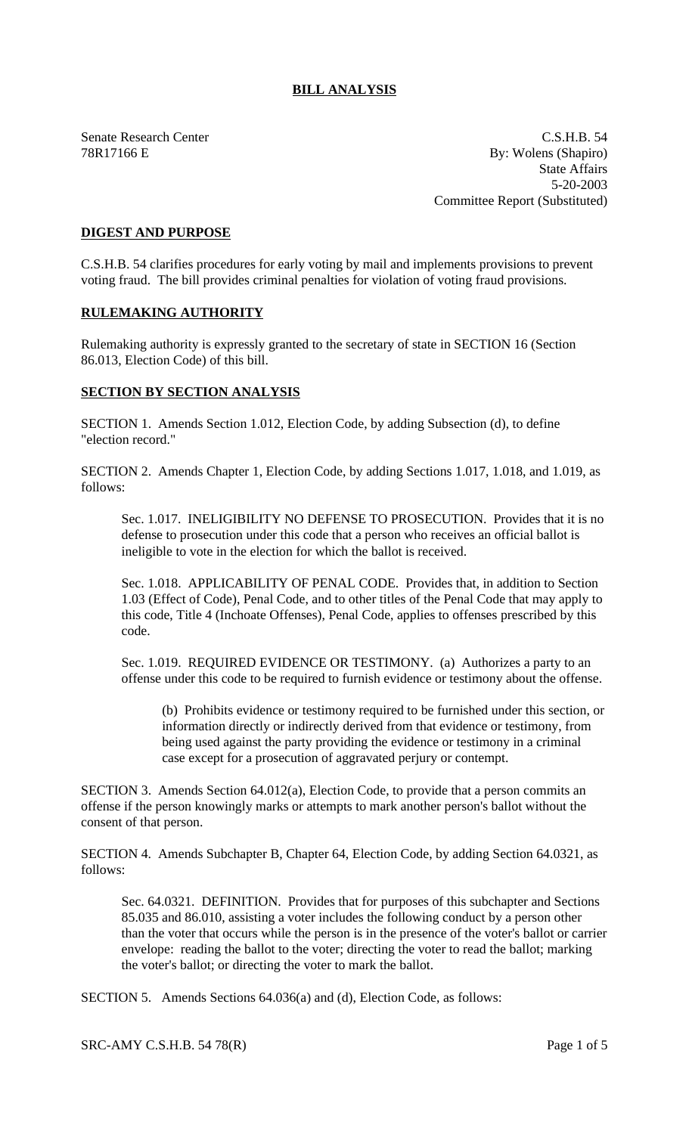## **BILL ANALYSIS**

Senate Research Center C.S.H.B. 54 78R17166 E By: Wolens (Shapiro) State Affairs 5-20-2003 Committee Report (Substituted)

## **DIGEST AND PURPOSE**

C.S.H.B. 54 clarifies procedures for early voting by mail and implements provisions to prevent voting fraud. The bill provides criminal penalties for violation of voting fraud provisions.

## **RULEMAKING AUTHORITY**

Rulemaking authority is expressly granted to the secretary of state in SECTION 16 (Section 86.013, Election Code) of this bill.

## **SECTION BY SECTION ANALYSIS**

SECTION 1. Amends Section 1.012, Election Code, by adding Subsection (d), to define "election record."

SECTION 2. Amends Chapter 1, Election Code, by adding Sections 1.017, 1.018, and 1.019, as follows:

Sec. 1.017. INELIGIBILITY NO DEFENSE TO PROSECUTION. Provides that it is no defense to prosecution under this code that a person who receives an official ballot is ineligible to vote in the election for which the ballot is received.

Sec. 1.018. APPLICABILITY OF PENAL CODE. Provides that, in addition to Section 1.03 (Effect of Code), Penal Code, and to other titles of the Penal Code that may apply to this code, Title 4 (Inchoate Offenses), Penal Code, applies to offenses prescribed by this code.

Sec. 1.019. REQUIRED EVIDENCE OR TESTIMONY. (a) Authorizes a party to an offense under this code to be required to furnish evidence or testimony about the offense.

(b) Prohibits evidence or testimony required to be furnished under this section, or information directly or indirectly derived from that evidence or testimony, from being used against the party providing the evidence or testimony in a criminal case except for a prosecution of aggravated perjury or contempt.

SECTION 3. Amends Section 64.012(a), Election Code, to provide that a person commits an offense if the person knowingly marks or attempts to mark another person's ballot without the consent of that person.

SECTION 4. Amends Subchapter B, Chapter 64, Election Code, by adding Section 64.0321, as follows:

Sec. 64.0321. DEFINITION. Provides that for purposes of this subchapter and Sections 85.035 and 86.010, assisting a voter includes the following conduct by a person other than the voter that occurs while the person is in the presence of the voter's ballot or carrier envelope: reading the ballot to the voter; directing the voter to read the ballot; marking the voter's ballot; or directing the voter to mark the ballot.

SECTION 5. Amends Sections 64.036(a) and (d), Election Code, as follows: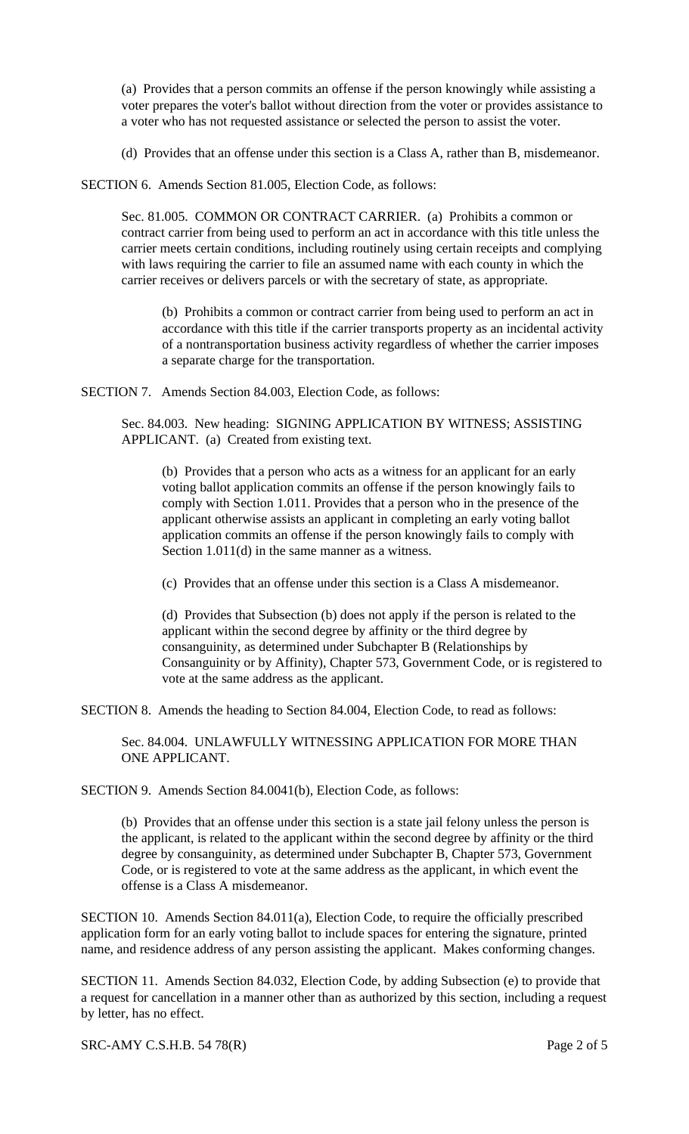(a) Provides that a person commits an offense if the person knowingly while assisting a voter prepares the voter's ballot without direction from the voter or provides assistance to a voter who has not requested assistance or selected the person to assist the voter.

(d) Provides that an offense under this section is a Class A, rather than B, misdemeanor.

SECTION 6. Amends Section 81.005, Election Code, as follows:

Sec. 81.005. COMMON OR CONTRACT CARRIER. (a) Prohibits a common or contract carrier from being used to perform an act in accordance with this title unless the carrier meets certain conditions, including routinely using certain receipts and complying with laws requiring the carrier to file an assumed name with each county in which the carrier receives or delivers parcels or with the secretary of state, as appropriate.

(b) Prohibits a common or contract carrier from being used to perform an act in accordance with this title if the carrier transports property as an incidental activity of a nontransportation business activity regardless of whether the carrier imposes a separate charge for the transportation.

SECTION 7. Amends Section 84.003, Election Code, as follows:

Sec. 84.003. New heading: SIGNING APPLICATION BY WITNESS; ASSISTING APPLICANT. (a) Created from existing text.

(b) Provides that a person who acts as a witness for an applicant for an early voting ballot application commits an offense if the person knowingly fails to comply with Section 1.011. Provides that a person who in the presence of the applicant otherwise assists an applicant in completing an early voting ballot application commits an offense if the person knowingly fails to comply with Section 1.011(d) in the same manner as a witness.

(c) Provides that an offense under this section is a Class A misdemeanor.

(d) Provides that Subsection (b) does not apply if the person is related to the applicant within the second degree by affinity or the third degree by consanguinity, as determined under Subchapter B (Relationships by Consanguinity or by Affinity), Chapter 573, Government Code, or is registered to vote at the same address as the applicant.

SECTION 8. Amends the heading to Section 84.004, Election Code, to read as follows:

Sec. 84.004. UNLAWFULLY WITNESSING APPLICATION FOR MORE THAN ONE APPLICANT.

SECTION 9. Amends Section 84.0041(b), Election Code, as follows:

(b) Provides that an offense under this section is a state jail felony unless the person is the applicant, is related to the applicant within the second degree by affinity or the third degree by consanguinity, as determined under Subchapter B, Chapter 573, Government Code, or is registered to vote at the same address as the applicant, in which event the offense is a Class A misdemeanor.

SECTION 10. Amends Section 84.011(a), Election Code, to require the officially prescribed application form for an early voting ballot to include spaces for entering the signature, printed name, and residence address of any person assisting the applicant. Makes conforming changes.

SECTION 11. Amends Section 84.032, Election Code, by adding Subsection (e) to provide that a request for cancellation in a manner other than as authorized by this section, including a request by letter, has no effect.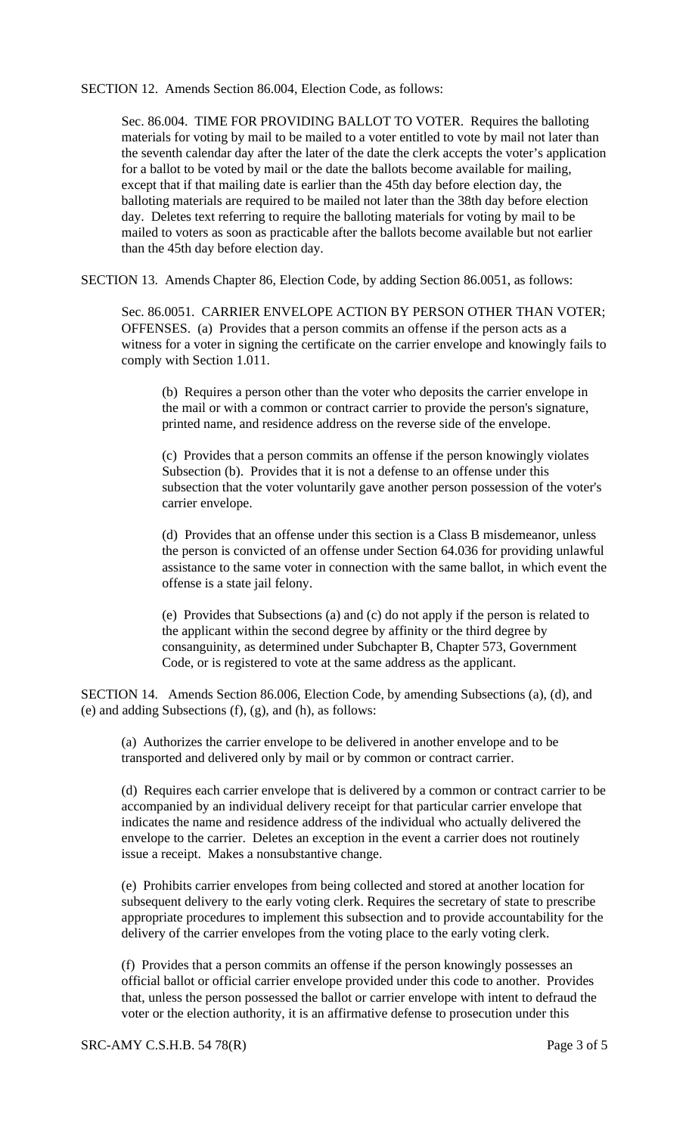SECTION 12. Amends Section 86.004, Election Code, as follows:

Sec. 86.004. TIME FOR PROVIDING BALLOT TO VOTER. Requires the balloting materials for voting by mail to be mailed to a voter entitled to vote by mail not later than the seventh calendar day after the later of the date the clerk accepts the voter's application for a ballot to be voted by mail or the date the ballots become available for mailing, except that if that mailing date is earlier than the 45th day before election day, the balloting materials are required to be mailed not later than the 38th day before election day. Deletes text referring to require the balloting materials for voting by mail to be mailed to voters as soon as practicable after the ballots become available but not earlier than the 45th day before election day.

SECTION 13. Amends Chapter 86, Election Code, by adding Section 86.0051, as follows:

Sec. 86.0051. CARRIER ENVELOPE ACTION BY PERSON OTHER THAN VOTER; OFFENSES. (a) Provides that a person commits an offense if the person acts as a witness for a voter in signing the certificate on the carrier envelope and knowingly fails to comply with Section 1.011.

(b) Requires a person other than the voter who deposits the carrier envelope in the mail or with a common or contract carrier to provide the person's signature, printed name, and residence address on the reverse side of the envelope.

(c) Provides that a person commits an offense if the person knowingly violates Subsection (b). Provides that it is not a defense to an offense under this subsection that the voter voluntarily gave another person possession of the voter's carrier envelope.

(d) Provides that an offense under this section is a Class B misdemeanor, unless the person is convicted of an offense under Section 64.036 for providing unlawful assistance to the same voter in connection with the same ballot, in which event the offense is a state jail felony.

(e) Provides that Subsections (a) and (c) do not apply if the person is related to the applicant within the second degree by affinity or the third degree by consanguinity, as determined under Subchapter B, Chapter 573, Government Code, or is registered to vote at the same address as the applicant.

SECTION 14. Amends Section 86.006, Election Code, by amending Subsections (a), (d), and (e) and adding Subsections (f), (g), and (h), as follows:

(a) Authorizes the carrier envelope to be delivered in another envelope and to be transported and delivered only by mail or by common or contract carrier.

(d) Requires each carrier envelope that is delivered by a common or contract carrier to be accompanied by an individual delivery receipt for that particular carrier envelope that indicates the name and residence address of the individual who actually delivered the envelope to the carrier. Deletes an exception in the event a carrier does not routinely issue a receipt. Makes a nonsubstantive change.

(e) Prohibits carrier envelopes from being collected and stored at another location for subsequent delivery to the early voting clerk. Requires the secretary of state to prescribe appropriate procedures to implement this subsection and to provide accountability for the delivery of the carrier envelopes from the voting place to the early voting clerk.

(f) Provides that a person commits an offense if the person knowingly possesses an official ballot or official carrier envelope provided under this code to another. Provides that, unless the person possessed the ballot or carrier envelope with intent to defraud the voter or the election authority, it is an affirmative defense to prosecution under this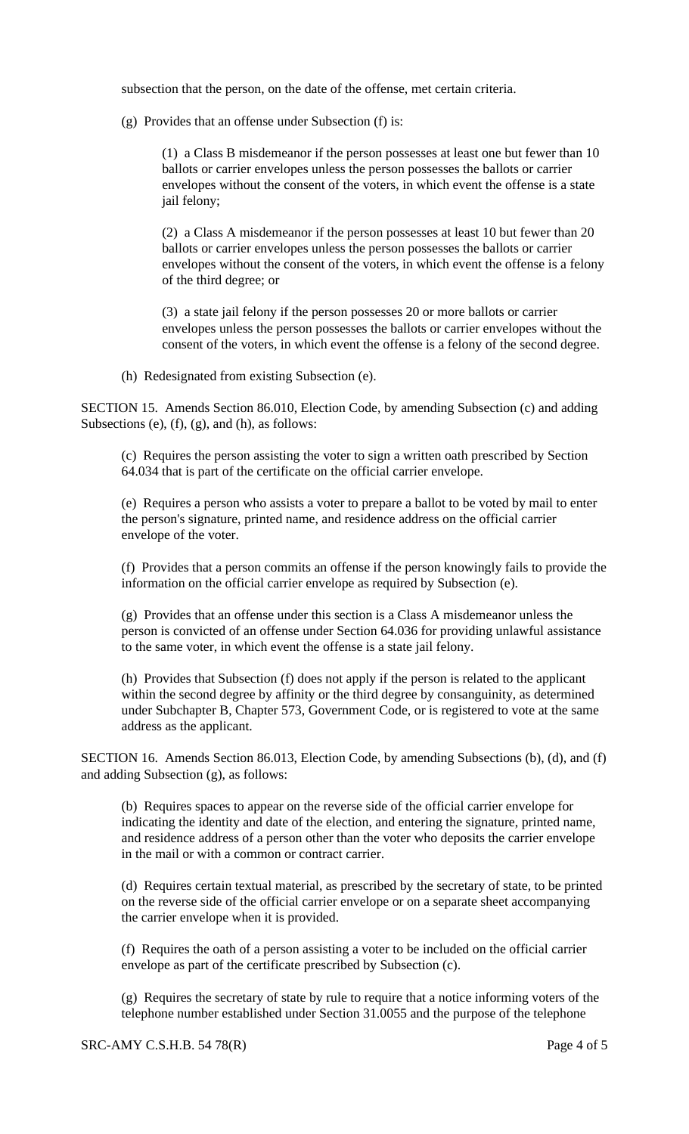subsection that the person, on the date of the offense, met certain criteria.

(g) Provides that an offense under Subsection (f) is:

(1) a Class B misdemeanor if the person possesses at least one but fewer than 10 ballots or carrier envelopes unless the person possesses the ballots or carrier envelopes without the consent of the voters, in which event the offense is a state jail felony;

(2) a Class A misdemeanor if the person possesses at least 10 but fewer than 20 ballots or carrier envelopes unless the person possesses the ballots or carrier envelopes without the consent of the voters, in which event the offense is a felony of the third degree; or

(3) a state jail felony if the person possesses 20 or more ballots or carrier envelopes unless the person possesses the ballots or carrier envelopes without the consent of the voters, in which event the offense is a felony of the second degree.

(h) Redesignated from existing Subsection (e).

SECTION 15. Amends Section 86.010, Election Code, by amending Subsection (c) and adding Subsections (e), (f), (g), and (h), as follows:

(c) Requires the person assisting the voter to sign a written oath prescribed by Section 64.034 that is part of the certificate on the official carrier envelope.

(e) Requires a person who assists a voter to prepare a ballot to be voted by mail to enter the person's signature, printed name, and residence address on the official carrier envelope of the voter.

(f) Provides that a person commits an offense if the person knowingly fails to provide the information on the official carrier envelope as required by Subsection (e).

(g) Provides that an offense under this section is a Class A misdemeanor unless the person is convicted of an offense under Section 64.036 for providing unlawful assistance to the same voter, in which event the offense is a state jail felony.

(h) Provides that Subsection (f) does not apply if the person is related to the applicant within the second degree by affinity or the third degree by consanguinity, as determined under Subchapter B, Chapter 573, Government Code, or is registered to vote at the same address as the applicant.

SECTION 16. Amends Section 86.013, Election Code, by amending Subsections (b), (d), and (f) and adding Subsection (g), as follows:

(b) Requires spaces to appear on the reverse side of the official carrier envelope for indicating the identity and date of the election, and entering the signature, printed name, and residence address of a person other than the voter who deposits the carrier envelope in the mail or with a common or contract carrier.

(d) Requires certain textual material, as prescribed by the secretary of state, to be printed on the reverse side of the official carrier envelope or on a separate sheet accompanying the carrier envelope when it is provided.

(f) Requires the oath of a person assisting a voter to be included on the official carrier envelope as part of the certificate prescribed by Subsection (c).

(g) Requires the secretary of state by rule to require that a notice informing voters of the telephone number established under Section 31.0055 and the purpose of the telephone